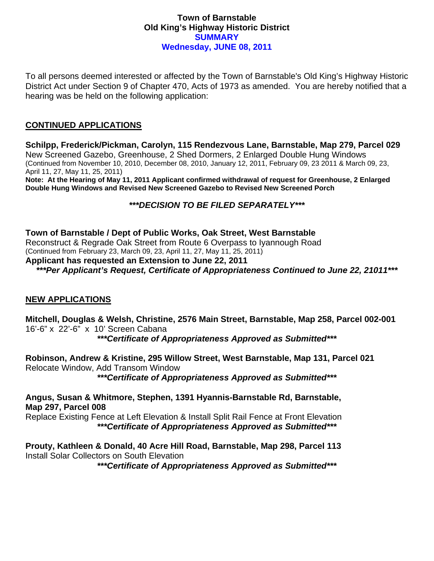## **Town of Barnstable Old King's Highway Historic District SUMMARY Wednesday, JUNE 08, 2011**

To all persons deemed interested or affected by the Town of Barnstable's Old King's Highway Historic District Act under Section 9 of Chapter 470, Acts of 1973 as amended. You are hereby notified that a hearing was be held on the following application:

## **CONTINUED APPLICATIONS**

**Schilpp, Frederick/Pickman, Carolyn, 115 Rendezvous Lane, Barnstable, Map 279, Parcel 029**  New Screened Gazebo, Greenhouse, 2 Shed Dormers, 2 Enlarged Double Hung Windows (Continued from November 10, 2010, December 08, 2010, January 12, 2011, February 09, 23 2011 & March 09, 23, April 11, 27, May 11, 25, 2011) **Note: At the Hearing of May 11, 2011 Applicant confirmed withdrawal of request for Greenhouse, 2 Enlarged Double Hung Windows and Revised New Screened Gazebo to Revised New Screened Porch** 

# *\*\*\*DECISION TO BE FILED SEPARATELY\*\*\**

**Town of Barnstable / Dept of Public Works, Oak Street, West Barnstable**  Reconstruct & Regrade Oak Street from Route 6 Overpass to Iyannough Road (Continued from February 23, March 09, 23, April 11, 27, May 11, 25, 2011)

#### **Applicant has requested an Extension to June 22, 2011**

*\*\*\*Per Applicant's Request, Certificate of Appropriateness Continued to June 22, 21011\*\*\** 

## **NEW APPLICATIONS**

**Mitchell, Douglas & Welsh, Christine, 2576 Main Street, Barnstable, Map 258, Parcel 002-001**  16'-6" x 22'-6" x 10' Screen Cabana

*\*\*\*Certificate of Appropriateness Approved as Submitted\*\*\** 

**Robinson, Andrew & Kristine, 295 Willow Street, West Barnstable, Map 131, Parcel 021**  Relocate Window, Add Transom Window

*\*\*\*Certificate of Appropriateness Approved as Submitted\*\*\** 

**Angus, Susan & Whitmore, Stephen, 1391 Hyannis-Barnstable Rd, Barnstable, Map 297, Parcel 008** 

Replace Existing Fence at Left Elevation & Install Split Rail Fence at Front Elevation *\*\*\*Certificate of Appropriateness Approved as Submitted\*\*\** 

**Prouty, Kathleen & Donald, 40 Acre Hill Road, Barnstable, Map 298, Parcel 113**  Install Solar Collectors on South Elevation

*\*\*\*Certificate of Appropriateness Approved as Submitted\*\*\**